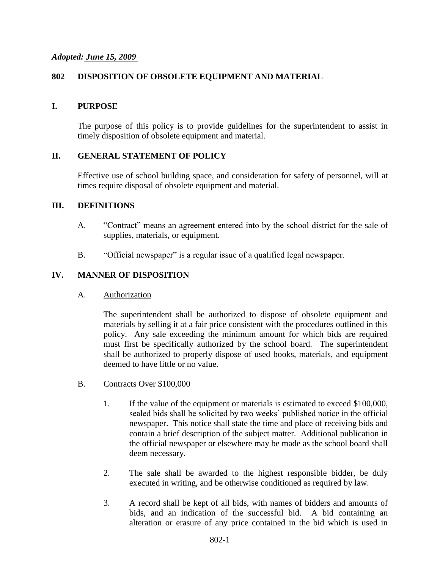#### *Adopted: June 15, 2009*

### **802 DISPOSITION OF OBSOLETE EQUIPMENT AND MATERIAL**

#### **I. PURPOSE**

The purpose of this policy is to provide guidelines for the superintendent to assist in timely disposition of obsolete equipment and material.

#### **II. GENERAL STATEMENT OF POLICY**

Effective use of school building space, and consideration for safety of personnel, will at times require disposal of obsolete equipment and material.

#### **III. DEFINITIONS**

- A. "Contract" means an agreement entered into by the school district for the sale of supplies, materials, or equipment.
- B. "Official newspaper" is a regular issue of a qualified legal newspaper.

#### **IV. MANNER OF DISPOSITION**

#### A. Authorization

The superintendent shall be authorized to dispose of obsolete equipment and materials by selling it at a fair price consistent with the procedures outlined in this policy. Any sale exceeding the minimum amount for which bids are required must first be specifically authorized by the school board. The superintendent shall be authorized to properly dispose of used books, materials, and equipment deemed to have little or no value.

- B. Contracts Over \$100,000
	- 1. If the value of the equipment or materials is estimated to exceed \$100,000, sealed bids shall be solicited by two weeks' published notice in the official newspaper. This notice shall state the time and place of receiving bids and contain a brief description of the subject matter. Additional publication in the official newspaper or elsewhere may be made as the school board shall deem necessary.
	- 2. The sale shall be awarded to the highest responsible bidder, be duly executed in writing, and be otherwise conditioned as required by law.
	- 3. A record shall be kept of all bids, with names of bidders and amounts of bids, and an indication of the successful bid. A bid containing an alteration or erasure of any price contained in the bid which is used in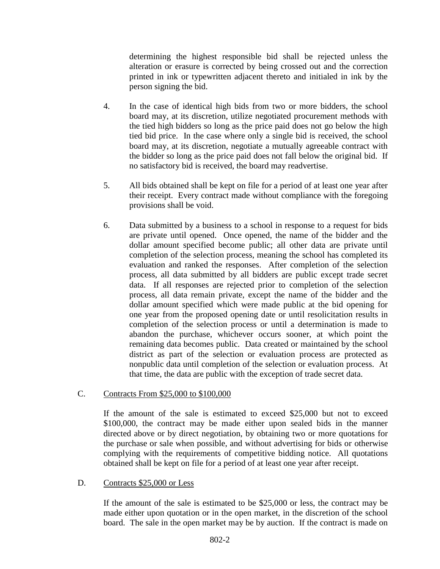determining the highest responsible bid shall be rejected unless the alteration or erasure is corrected by being crossed out and the correction printed in ink or typewritten adjacent thereto and initialed in ink by the person signing the bid.

- 4. In the case of identical high bids from two or more bidders, the school board may, at its discretion, utilize negotiated procurement methods with the tied high bidders so long as the price paid does not go below the high tied bid price. In the case where only a single bid is received, the school board may, at its discretion, negotiate a mutually agreeable contract with the bidder so long as the price paid does not fall below the original bid. If no satisfactory bid is received, the board may readvertise.
- 5. All bids obtained shall be kept on file for a period of at least one year after their receipt. Every contract made without compliance with the foregoing provisions shall be void.
- 6. Data submitted by a business to a school in response to a request for bids are private until opened. Once opened, the name of the bidder and the dollar amount specified become public; all other data are private until completion of the selection process, meaning the school has completed its evaluation and ranked the responses. After completion of the selection process, all data submitted by all bidders are public except trade secret data. If all responses are rejected prior to completion of the selection process, all data remain private, except the name of the bidder and the dollar amount specified which were made public at the bid opening for one year from the proposed opening date or until resolicitation results in completion of the selection process or until a determination is made to abandon the purchase, whichever occurs sooner, at which point the remaining data becomes public. Data created or maintained by the school district as part of the selection or evaluation process are protected as nonpublic data until completion of the selection or evaluation process. At that time, the data are public with the exception of trade secret data.

## C. Contracts From \$25,000 to \$100,000

If the amount of the sale is estimated to exceed \$25,000 but not to exceed \$100,000, the contract may be made either upon sealed bids in the manner directed above or by direct negotiation, by obtaining two or more quotations for the purchase or sale when possible, and without advertising for bids or otherwise complying with the requirements of competitive bidding notice. All quotations obtained shall be kept on file for a period of at least one year after receipt.

## D. Contracts \$25,000 or Less

If the amount of the sale is estimated to be \$25,000 or less, the contract may be made either upon quotation or in the open market, in the discretion of the school board. The sale in the open market may be by auction. If the contract is made on